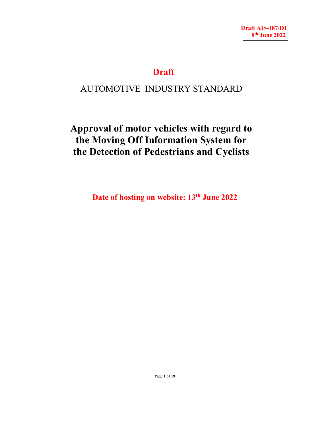# **Draft**

# AUTOMOTIVE INDUSTRY STANDARD

# **Approval of motor vehicles with regard to the Moving Off Information System for the Detection of Pedestrians and Cyclists**

Date of hosting on website: 13<sup>th</sup> June 2022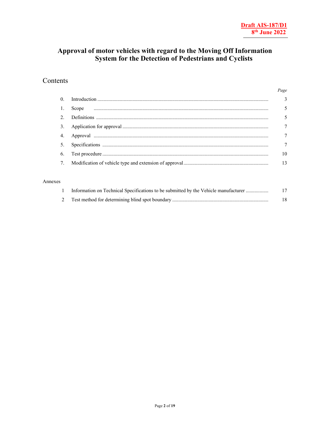### Approval of motor vehicles with regard to the Moving Off Information System for the Detection of Pedestrians and Cyclists

### Contents

|  | Page            |
|--|-----------------|
|  |                 |
|  | $5\overline{)}$ |
|  | 5               |
|  | 7               |
|  | $\overline{7}$  |
|  | $\tau$          |
|  | 10              |
|  |                 |

#### Annexes

| Information on Technical Specifications to be submitted by the Vehicle manufacturer | 17 |
|-------------------------------------------------------------------------------------|----|
|                                                                                     |    |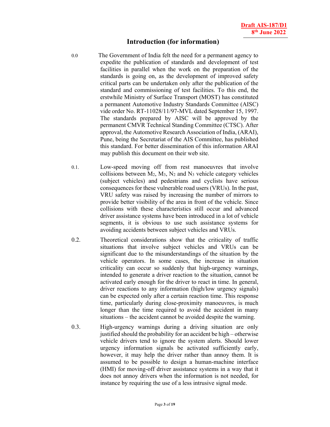### **Introduction (for information)**

- 0.0 The Government of India felt the need for a permanent agency to expedite the publication of standards and development of test facilities in parallel when the work on the preparation of the standards is going on, as the development of improved safety critical parts can be undertaken only after the publication of the standard and commissioning of test facilities. To this end, the erstwhile Ministry of Surface Transport (MOST) has constituted a permanent Automotive Industry Standards Committee (AISC) vide order No. RT-11028/11/97-MVL dated September 15, 1997. The standards prepared by AISC will be approved by the permanent CMVR Technical Standing Committee (CTSC). After approval, the Automotive Research Association of India, (ARAI), Pune, being the Secretariat of the AIS Committee, has published this standard. For better dissemination of this information ARAI may publish this document on their web site.
- 0.1. Low-speed moving off from rest manoeuvres that involve collisions between  $M_2$ ,  $M_3$ ,  $N_2$  and  $N_3$  vehicle category vehicles (subject vehicles) and pedestrians and cyclists have serious consequences for these vulnerable road users (VRUs). In the past, VRU safety was raised by increasing the number of mirrors to provide better visibility of the area in front of the vehicle. Since collisions with these characteristics still occur and advanced driver assistance systems have been introduced in a lot of vehicle segments, it is obvious to use such assistance systems for avoiding accidents between subject vehicles and VRUs.
- 0.2. Theoretical considerations show that the criticality of traffic situations that involve subject vehicles and VRUs can be significant due to the misunderstandings of the situation by the vehicle operators. In some cases, the increase in situation criticality can occur so suddenly that high-urgency warnings, intended to generate a driver reaction to the situation, cannot be activated early enough for the driver to react in time. In general, driver reactions to any information (high/low urgency signals) can be expected only after a certain reaction time. This response time, particularly during close-proximity manoeuvres, is much longer than the time required to avoid the accident in many situations – the accident cannot be avoided despite the warning.
- 0.3. High-urgency warnings during a driving situation are only justified should the probability for an accident be high – otherwise vehicle drivers tend to ignore the system alerts. Should lower urgency information signals be activated sufficiently early, however, it may help the driver rather than annoy them. It is assumed to be possible to design a human-machine interface (HMI) for moving-off driver assistance systems in a way that it does not annoy drivers when the information is not needed, for instance by requiring the use of a less intrusive signal mode.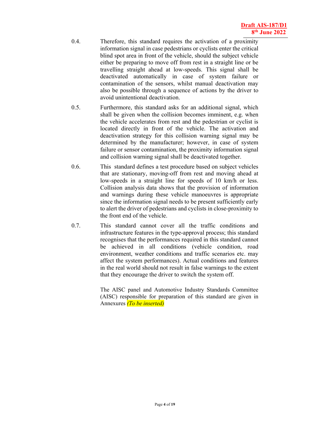- 0.4. Therefore, this standard requires the activation of a proximity information signal in case pedestrians or cyclists enter the critical blind spot area in front of the vehicle, should the subject vehicle either be preparing to move off from rest in a straight line or be travelling straight ahead at low-speeds. This signal shall be deactivated automatically in case of system failure or contamination of the sensors, whilst manual deactivation may also be possible through a sequence of actions by the driver to avoid unintentional deactivation.
- 0.5. Furthermore, this standard asks for an additional signal, which shall be given when the collision becomes imminent, e.g. when the vehicle accelerates from rest and the pedestrian or cyclist is located directly in front of the vehicle. The activation and deactivation strategy for this collision warning signal may be determined by the manufacturer; however, in case of system failure or sensor contamination, the proximity information signal and collision warning signal shall be deactivated together.
- 0.6. This standard defines a test procedure based on subject vehicles that are stationary, moving-off from rest and moving ahead at low-speeds in a straight line for speeds of 10 km/h or less. Collision analysis data shows that the provision of information and warnings during these vehicle manoeuvres is appropriate since the information signal needs to be present sufficiently early to alert the driver of pedestrians and cyclists in close-proximity to the front end of the vehicle.
- 0.7. This standard cannot cover all the traffic conditions and infrastructure features in the type-approval process; this standard recognises that the performances required in this standard cannot be achieved in all conditions (vehicle condition, road environment, weather conditions and traffic scenarios etc. may affect the system performances). Actual conditions and features in the real world should not result in false warnings to the extent that they encourage the driver to switch the system off.

 The AISC panel and Automotive Industry Standards Committee (AISC) responsible for preparation of this standard are given in Annexures *(To be inserted)*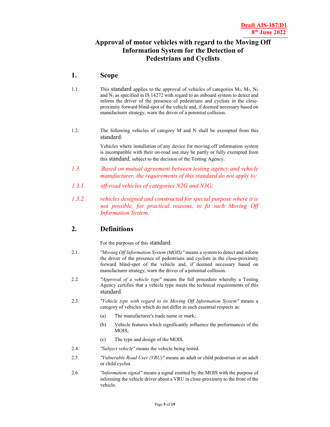### **Approval of motor vehicles with regard to the Moving Off Information System for the Detection of Pedestrians and Cyclists**

### **1. Scope**

- 1.1. This standard applies to the approval of vehicles of categories  $M_2$ ,  $M_3$ ,  $N_2$ and  $N_3$  as specified in IS 14272 with regard to an onboard system to detect and inform the driver of the presence of pedestrians and cyclists in the closeproximity forward blind-spot of the vehicle and, if deemed necessary based on manufacturer strategy, warn the driver of a potential collision.
- 1.2. The following vehicles of category M and N shall be exempted from this standard:

 Vehicles where installation of any device for moving off information system is incompatible with their on-road use may be partly or fully exempted from this standard, subject to the decision of the Testing Agency.

- *1.3. Based on mutual agreement between testing agency and vehicle manufacturer, the requirements of this standard do not apply to:*
- *1.3.1. off-road vehicles of categories N2G and N3G;*
- *1.3.2. vehicles designed and constructed for special purpose where it is not possible, for practical reasons, to fit such Moving Off Information System.*

### **2. Definitions**

For the purposes of this standard:

- 2.1. *"Moving Off Information System (MOIS)"* means a system to detect and inform the driver of the presence of pedestrians and cyclists in the close-proximity forward blind-spot of the vehicle and, if deemed necessary based on manufacturer strategy, warn the driver of a potential collision.
- 2.2. *"Approval of a vehicle type"* means the full procedure whereby a Testing Agency certifies that a vehicle type meets the technical requirements of this standard.
- 2.3. *"Vehicle type with regard to its Moving Off Information System"* means a category of vehicles which do not differ in such essential respects as:
	- (a) The manufacturer's trade name or mark;
	- (b) Vehicle features which significantly influence the performances of the MOIS;
	- (c) The type and design of the MOIS.
- 2.4. *"Subject vehicle"* means the vehicle being tested.
- 2.5. *"Vulnerable Road User (VRU)"* means an adult or child pedestrian or an adult or child cyclist.
- 2.6. *"Information signal"* means a signal emitted by the MOIS with the purpose of informing the vehicle driver about a VRU in close-proximity to the front of the vehicle.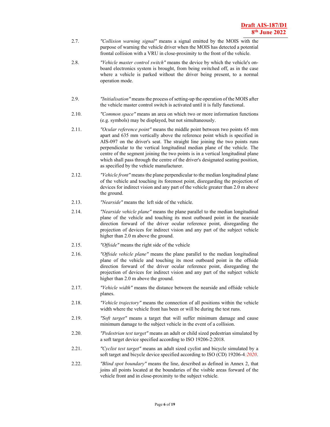- 2.7. *"Collision warning signal"* means a signal emitted by the MOIS with the purpose of warning the vehicle driver when the MOIS has detected a potential frontal collision with a VRU in close-proximity to the front of the vehicle.
- 2.8. *"Vehicle master control switch"* means the device by which the vehicle's onboard electronics system is brought, from being switched off, as in the case where a vehicle is parked without the driver being present, to a normal operation mode.
- 2.9. *"Initialisation"* means the process of setting-up the operation of the MOIS after the vehicle master control switch is activated until it is fully functional.
- 2.10. *"Common space"* means an area on which two or more information functions (e.g. symbols) may be displayed, but not simultaneously.
- 2.11. *"Ocular reference point"* means the middle point between two points 65 mm apart and 635 mm vertically above the reference point which is specified in AIS-097 on the driver's seat. The straight line joining the two points runs perpendicular to the vertical longitudinal median plane of the vehicle. The centre of the segment joining the two points is in a vertical longitudinal plane which shall pass through the centre of the driver's designated seating position, as specified by the vehicle manufacturer.
- 2.12. *"Vehicle front"* means the plane perpendicular to the median longitudinal plane of the vehicle and touching its foremost point, disregarding the projection of devices for indirect vision and any part of the vehicle greater than 2.0 m above the ground.
- 2.13. *"Nearside"* means the left side of the vehicle.
- 2.14. *"Nearside vehicle plane"* means the plane parallel to the median longitudinal plane of the vehicle and touching its most outboard point in the nearside direction forward of the driver ocular reference point, disregarding the projection of devices for indirect vision and any part of the subject vehicle higher than 2.0 m above the ground.
- 2.15. *"Offside"* means the right side of the vehicle
- 2.16. *"Offside vehicle plane"* means the plane parallel to the median longitudinal plane of the vehicle and touching its most outboard point in the offside direction forward of the driver ocular reference point, disregarding the projection of devices for indirect vision and any part of the subject vehicle higher than 2.0 m above the ground.
- 2.17. *"Vehicle width"* means the distance between the nearside and offside vehicle planes.
- 2.18. *"Vehicle trajectory"* means the connection of all positions within the vehicle width where the vehicle front has been or will be during the test runs.
- 2.19. *"Soft target"* means a target that will suffer minimum damage and cause minimum damage to the subject vehicle in the event of a collision.
- 2.20. *"Pedestrian test target"* means an adult or child sized pedestrian simulated by a soft target device specified according to ISO 19206-2:2018.
- 2.21. *"Cyclist test target"* means an adult sized cyclist and bicycle simulated by a soft target and bicycle device specified according to ISO (CD) 19206-4*:2020*.
- 2.22. *"Blind spot boundary"* means the line, described as defined in Annex 2, that joins all points located at the boundaries of the visible areas forward of the vehicle front and in close-proximity to the subject vehicle.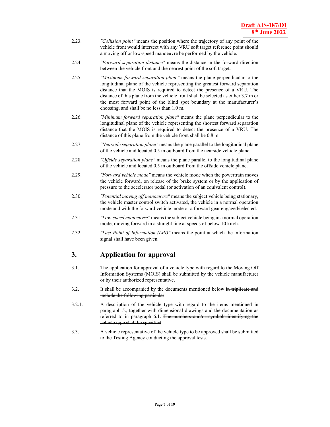- 2.23. *"Collision point"* means the position where the trajectory of any point of the vehicle front would intersect with any VRU soft target reference point should a moving off or low-speed manoeuvre be performed by the vehicle.
- 2.24. *"Forward separation distance"* means the distance in the forward direction between the vehicle front and the nearest point of the soft target.
- 2.25. *"Maximum forward separation plane"* means the plane perpendicular to the longitudinal plane of the vehicle representing the greatest forward separation distance that the MOIS is required to detect the presence of a VRU. The distance of this plane from the vehicle front shall be selected as either 3.7 m or the most forward point of the blind spot boundary at the manufacturer's choosing, and shall be no less than 1.0 m.
- 2.26. *"Minimum forward separation plane"* means the plane perpendicular to the longitudinal plane of the vehicle representing the shortest forward separation distance that the MOIS is required to detect the presence of a VRU. The distance of this plane from the vehicle front shall be 0.8 m.
- 2.27. *"Nearside separation plane"* means the plane parallel to the longitudinal plane of the vehicle and located 0.5 m outboard from the nearside vehicle plane.
- 2.28. *"Offside separation plane"* means the plane parallel to the longitudinal plane of the vehicle and located 0.5 m outboard from the offside vehicle plane.
- 2.29. *"Forward vehicle mode"* means the vehicle mode when the powertrain moves the vehicle forward, on release of the brake system or by the application of pressure to the accelerator pedal (or activation of an equivalent control).
- 2.30. *"Potential moving off manoeuvre"* means the subject vehicle being stationary, the vehicle master control switch activated, the vehicle in a normal operation mode and with the forward vehicle mode or a forward gear engaged/selected.
- 2.31. *"Low-speed manoeuvre"* means the subject vehicle being in a normal operation mode, moving forward in a straight line at speeds of below 10 km/h.
- 2.32. *"Last Point of Information (LPI)"* means the point at which the information signal shall have been given.

### **3. Application for approval**

- 3.1. The application for approval of a vehicle type with regard to the Moving Off Information Systems (MOIS) shall be submitted by the vehicle manufacturer or by their authorized representative.
- 3.2. It shall be accompanied by the documents mentioned below in triplicate and include the following particular:
- 3.2.1. A description of the vehicle type with regard to the items mentioned in paragraph 5., together with dimensional drawings and the documentation as referred to in paragraph 6.1. The numbers and/or symbols identifying the vehicle type shall be specified.
- 3.3. A vehicle representative of the vehicle type to be approved shall be submitted to the Testing Agency conducting the approval tests.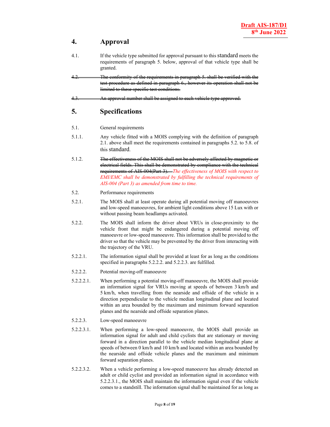### **4. Approval**

- 4.1. If the vehicle type submitted for approval pursuant to this standard meets the requirements of paragraph 5. below, approval of that vehicle type shall be granted.
- 4.2. The conformity of the requirements in paragraph 5. shall be verified with the test procedure as defined in paragraph 6., however its operation shall not be limited to these specific test conditions.
- 4.3. An approval number shall be assigned to each vehicle type approved.

### **5. Specifications**

#### 5.1. General requirements

- 5.1.1. Any vehicle fitted with a MOIS complying with the definition of paragraph 2.1. above shall meet the requirements contained in paragraphs 5.2. to 5.8. of this standard.
- 5.1.2. The effectiveness of the MOIS shall not be adversely affected by magnetic or electrical fields. This shall be demonstrated by compliance with the technical requirements of AIS-004(Part 3). *The effectiveness of MOIS with respect to EMI/EMC shall be demonstrated by fulfilling the technical requirements of AIS-004 (Part 3) as amended from time to time.*
- 5.2. Performance requirements
- 5.2.1. The MOIS shall at least operate during all potential moving off manoeuvres and low-speed manoeuvres, for ambient light conditions above 15 Lux with or without passing beam headlamps activated.
- 5.2.2. The MOIS shall inform the driver about VRUs in close-proximity to the vehicle front that might be endangered during a potential moving off manoeuvre or low-speed manoeuvre. This information shall be provided to the driver so that the vehicle may be prevented by the driver from interacting with the trajectory of the VRU.
- 5.2.2.1. The information signal shall be provided at least for as long as the conditions specified in paragraphs 5.2.2.2. and 5.2.2.3. are fulfilled.
- 5.2.2.2. Potential moving-off manoeuvre
- 5.2.2.2.1. When performing a potential moving-off manoeuvre, the MOIS shall provide an information signal for VRUs moving at speeds of between 3 km/h and 5 km/h, when travelling from the nearside and offside of the vehicle in a direction perpendicular to the vehicle median longitudinal plane and located within an area bounded by the maximum and minimum forward separation planes and the nearside and offside separation planes.
- 5.2.2.3. Low-speed manoeuvre
- 5.2.2.3.1. When performing a low-speed manoeuvre, the MOIS shall provide an information signal for adult and child cyclists that are stationary or moving forward in a direction parallel to the vehicle median longitudinal plane at speeds of between 0 km/h and 10 km/h and located within an area bounded by the nearside and offside vehicle planes and the maximum and minimum forward separation planes.
- 5.2.2.3.2. When a vehicle performing a low-speed manoeuvre has already detected an adult or child cyclist and provided an information signal in accordance with 5.2.2.3.1., the MOIS shall maintain the information signal even if the vehicle comes to a standstill. The information signal shall be maintained for as long as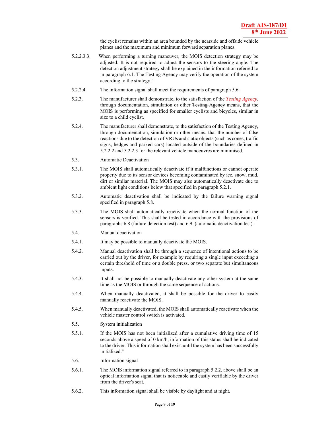the cyclist remains within an area bounded by the nearside and offside vehicle planes and the maximum and minimum forward separation planes.

- 5.2.2.3.3. When performing a turning maneuver, the MOIS detection strategy may be adjusted. It is not required to adjust the sensors to the steering angle. The detection adjustment strategy shall be explained in the information referred to in paragraph 6.1. The Testing Agency may verify the operation of the system according to the strategy."
- 5.2.2.4. The information signal shall meet the requirements of paragraph 5.6.
- 5.2.3. The manufacturer shall demonstrate, to the satisfaction of the *Testing Agency*, through documentation, simulation or other Festing Ageney means, that the MOIS is performing as specified for smaller cyclists and bicycles, similar in size to a child cyclist.
- 5.2.4. The manufacturer shall demonstrate, to the satisfaction of the Testing Agency, through documentation, simulation or other means, that the number of false reactions due to the detection of VRUs and static objects (such as cones, traffic signs, hedges and parked cars) located outside of the boundaries defined in 5.2.2.2 and 5.2.2.3 for the relevant vehicle manoeuvres are minimised.
- 5.3. Automatic Deactivation
- 5.3.1. The MOIS shall automatically deactivate if it malfunctions or cannot operate properly due to its sensor devices becoming contaminated by ice, snow, mud, dirt or similar material. The MOIS may also automatically deactivate due to ambient light conditions below that specified in paragraph 5.2.1.
- 5.3.2. Automatic deactivation shall be indicated by the failure warning signal specified in paragraph 5.8.
- 5.3.3. The MOIS shall automatically reactivate when the normal function of the sensors is verified. This shall be tested in accordance with the provisions of paragraphs 6.8 (failure detection test) and 6.9. (automatic deactivation test).
- 5.4. Manual deactivation
- 5.4.1. It may be possible to manually deactivate the MOIS.
- 5.4.2. Manual deactivation shall be through a sequence of intentional actions to be carried out by the driver, for example by requiring a single input exceeding a certain threshold of time or a double press, or two separate but simultaneous inputs.
- 5.4.3. It shall not be possible to manually deactivate any other system at the same time as the MOIS or through the same sequence of actions.
- 5.4.4. When manually deactivated, it shall be possible for the driver to easily manually reactivate the MOIS.
- 5.4.5. When manually deactivated, the MOIS shall automatically reactivate when the vehicle master control switch is activated.
- 5.5. System initialization
- 5.5.1. If the MOIS has not been initialized after a cumulative driving time of 15 seconds above a speed of 0 km/h, information of this status shall be indicated to the driver. This information shall exist until the system has been successfully initialized."
- 5.6. Information signal
- 5.6.1. The MOIS information signal referred to in paragraph 5.2.2. above shall be an optical information signal that is noticeable and easily verifiable by the driver from the driver's seat.
- 5.6.2. This information signal shall be visible by daylight and at night.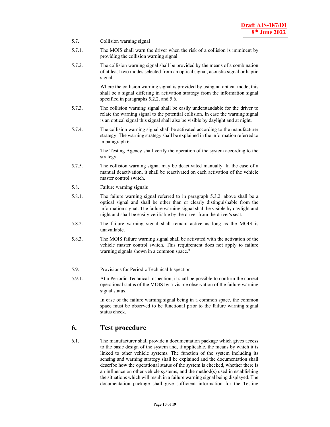- 5.7. Collision warning signal
- 5.7.1. The MOIS shall warn the driver when the risk of a collision is imminent by providing the collision warning signal.
- 5.7.2. The collision warning signal shall be provided by the means of a combination of at least two modes selected from an optical signal, acoustic signal or haptic signal.

Where the collision warning signal is provided by using an optical mode, this shall be a signal differing in activation strategy from the information signal specified in paragraphs 5.2.2. and 5.6.

- 5.7.3. The collision warning signal shall be easily understandable for the driver to relate the warning signal to the potential collision. In case the warning signal is an optical signal this signal shall also be visible by daylight and at night.
- 5.7.4. The collision warning signal shall be activated according to the manufacturer strategy. The warning strategy shall be explained in the information referred to in paragraph 6.1.

 The Testing Agency shall verify the operation of the system according to the strategy.

- 5.7.5. The collision warning signal may be deactivated manually. In the case of a manual deactivation, it shall be reactivated on each activation of the vehicle master control switch.
- 5.8. Failure warning signals
- 5.8.1. The failure warning signal referred to in paragraph 5.3.2. above shall be a optical signal and shall be other than or clearly distinguishable from the information signal. The failure warning signal shall be visible by daylight and night and shall be easily verifiable by the driver from the driver's seat.
- 5.8.2. The failure warning signal shall remain active as long as the MOIS is unavailable.
- 5.8.3. The MOIS failure warning signal shall be activated with the activation of the vehicle master control switch. This requirement does not apply to failure warning signals shown in a common space."
- 5.9. Provisions for Periodic Technical Inspection
- 5.9.1. At a Periodic Technical Inspection, it shall be possible to confirm the correct operational status of the MOIS by a visible observation of the failure warning signal status.

In case of the failure warning signal being in a common space, the common space must be observed to be functional prior to the failure warning signal status check.

### **6. Test procedure**

6.1. The manufacturer shall provide a documentation package which gives access to the basic design of the system and, if applicable, the means by which it is linked to other vehicle systems. The function of the system including its sensing and warning strategy shall be explained and the documentation shall describe how the operational status of the system is checked, whether there is an influence on other vehicle systems, and the method(s) used in establishing the situations which will result in a failure warning signal being displayed. The documentation package shall give sufficient information for the Testing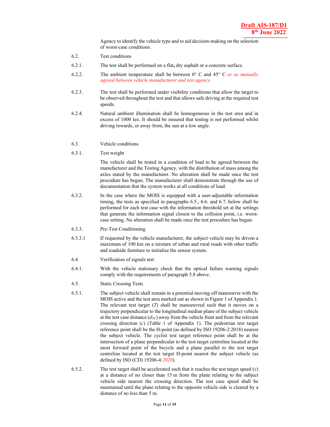Agency to identify the vehicle type and to aid decision-making on the selection of worst-case conditions.

- 6.2. Test conditions
- 6.2.1. The test shall be performed on a flat**,** dry asphalt or a concrete surface.
- 6.2.2. The ambient temperature shall be between 0° C and 45° C *or as mutually agreed between vehicle manufacturer and test agency*.
- 6.2.3. The test shall be performed under visibility conditions that allow the target to be observed throughout the test and that allows safe driving at the required test speeds.
- 6.2.4. Natural ambient illumination shall be homogeneous in the test area and in excess of 1000 lux. It should be ensured that testing is not performed whilst driving towards, or away from, the sun at a low angle.
- 6.3. Vehicle conditions
- 6.3.1. Test weight

The vehicle shall be tested in a condition of load to be agreed between the manufacturer and the Testing Agency, with the distribution of mass among the axles stated by the manufacturer. No alteration shall be made once the test procedure has begun. The manufacturer shall demonstrate through the use of documentation that the system works at all conditions of load.

- 6.3.2. In the case where the MOIS is equipped with a user-adjustable information timing, the tests as specified in paragraphs 6.5., 6.6. and 6.7. below shall be performed for each test case with the information threshold set at the settings that generate the information signal closest to the collision point, i.e. worstcase setting. No alteration shall be made once the test procedure has begun.
- 6.3.3. Pre-Test Conditioning
- 6.3.3.1 If requested by the vehicle manufacturer, the subject vehicle may be driven a maximum of 100 km on a mixture of urban and rural roads with other traffic and roadside furniture to initialise the sensor system.
- 6.4. Verification of signals test
- 6.4.1. With the vehicle stationary check that the optical failure warning signals comply with the requirements of paragraph 5.8 above.
- 6.5. Static Crossing Tests
- 6.5.1. The subject vehicle shall remain in a potential moving off manoeuvre with the MOIS active and the test area marked out as shown in Figure 1 of Appendix 1. The relevant test target (*T*) shall be manoeuvred such that it moves on a trajectory perpendicular to the longitudinal median plane of the subject vehicle at the test case distance  $(d_{TC})$  away from the vehicle front and from the relevant crossing direction (*c*) (Table 1 of Appendix 1). The pedestrian test target reference point shall be the H-point (as defined by ISO 19206-2:2018) nearest the subject vehicle. The cyclist test target reference point shall be at the intersection of a plane perpendicular to the test target centreline located at the most forward point of the bicycle and a plane parallel to the test target centreline located at the test target H-point nearest the subject vehicle (as defined by ISO (CD) 19206-4:*2020*).
- 6.5.2. The test target shall be accelerated such that it reaches the test target speed  $(v)$ at a distance of no closer than 15 m from the plane relating to the subject vehicle side nearest the crossing direction. The test case speed shall be maintained until the plane relating to the opposite vehicle side is cleared by a distance of no less than 5 m.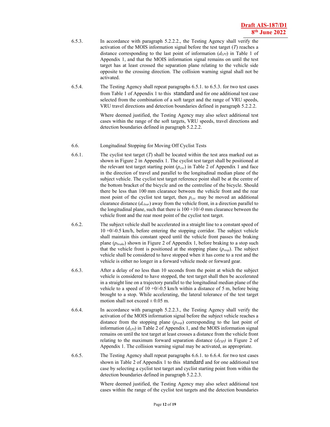- 6.5.3. In accordance with paragraph 5.2.2.2., the Testing Agency shall verify the activation of the MOIS information signal before the test target (*T*) reaches a distance corresponding to the last point of information (*dLPI*) in Table 1 of Appendix 1, and that the MOIS information signal remains on until the test target has at least crossed the separation plane relating to the vehicle side opposite to the crossing direction. The collision warning signal shall not be activated.
- 6.5.4. The Testing Agency shall repeat paragraphs 6.5.1. to 6.5.3. for two test cases from Table 1 of Appendix 1 to this standard and for one additional test case selected from the combination of a soft target and the range of VRU speeds, VRU travel directions and detection boundaries defined in paragraph 5.2.2.2.

 Where deemed justified, the Testing Agency may also select additional test cases within the range of the soft targets, VRU speeds, travel directions and detection boundaries defined in paragraph 5.2.2.2.

- 6.6. Longitudinal Stopping for Moving Off Cyclist Tests
- 6.6.1. The cyclist test target (*T*) shall be located within the test area marked out as shown in Figure 2 in Appendix 1. The cyclist test target shall be positioned at the relevant test target starting point  $(p_{\text{cyc}})$  in Table 2 of Appendix 1 and face in the direction of travel and parallel to the longitudinal median plane of the subject vehicle. The cyclist test target reference point shall be at the centre of the bottom bracket of the bicycle and on the centreline of the bicycle. Should there be less than 100 mm clearance between the vehicle front and the rear most point of the cyclist test target, then  $p_{cyc}$  may be moved an additional clearance distance (*dclear*) away from the vehicle front, in a direction parallel to the longitudinal plane, such that there is  $100 + 10/4$  mm clearance between the vehicle front and the rear most point of the cyclist test target.
- 6.6.2. The subject vehicle shall be accelerated in a straight line to a constant speed of 10 +0/-0.5 km/h, before entering the stopping corridor. The subject vehicle shall maintain this constant speed until the vehicle front passes the braking plane (*pbrake*) shown in Figure 2 of Appendix 1, before braking to a stop such that the vehicle front is positioned at the stopping plane (*pstop*). The subject vehicle shall be considered to have stopped when it has come to a rest and the vehicle is either no longer in a forward vehicle mode or forward gear.
- 6.6.3. After a delay of no less than 10 seconds from the point at which the subject vehicle is considered to have stopped, the test target shall then be accelerated in a straight line on a trajectory parallel to the longitudinal median plane of the vehicle to a speed of  $10 + 0$ /-0.5 km/h within a distance of 5 m, before being brought to a stop. While accelerating, the lateral tolerance of the test target motion shall not exceed  $\pm$  0.05 m.
- 6.6.4. In accordance with paragraph 5.2.2.3., the Testing Agency shall verify the activation of the MOIS information signal before the subject vehicle reaches a distance from the stopping plane (*pstop*) corresponding to the last point of information (*dLPI*) in Table 2 of Appendix 1, and the MOIS information signal remains on until the test target at least crosses a distance from the vehicle front relating to the maximum forward separation distance  $(d_{FSP})$  in Figure 2 of Appendix 1. The collision warning signal may be activated, as appropriate.
- 6.6.5. The Testing Agency shall repeat paragraphs 6.6.1. to 6.6.4. for two test cases shown in Table 2 of Appendix 1 to this standard and for one additional test case by selecting a cyclist test target and cyclist starting point from within the detection boundaries defined in paragraph 5.2.2.3.

 Where deemed justified, the Testing Agency may also select additional test cases within the range of the cyclist test targets and the detection boundaries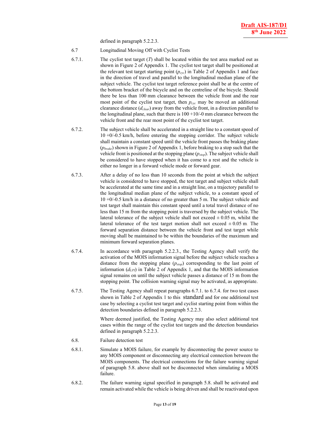defined in paragraph 5.2.2.3.

- 6.7 Longitudinal Moving Off with Cyclist Tests
- 6.7.1. The cyclist test target (*T*) shall be located within the test area marked out as shown in Figure 2 of Appendix 1. The cyclist test target shall be positioned at the relevant test target starting point  $(p_{cyc})$  in Table 2 of Appendix 1 and face in the direction of travel and parallel to the longitudinal median plane of the subject vehicle. The cyclist test target reference point shall be at the centre of the bottom bracket of the bicycle and on the centreline of the bicycle. Should there be less than 100 mm clearance between the vehicle front and the rear most point of the cyclist test target, then  $p_{cyc}$  may be moved an additional clearance distance (*dclear*) away from the vehicle front, in a direction parallel to the longitudinal plane, such that there is  $100 + 10/-0$  mm clearance between the vehicle front and the rear most point of the cyclist test target.
- 6.7.2. The subject vehicle shall be accelerated in a straight line to a constant speed of  $10 + 0$ / $-0.5$  km/h, before entering the stopping corridor. The subject vehicle shall maintain a constant speed until the vehicle front passes the braking plane (*pbrake*) shown in Figure 2 of Appendix 1, before braking to a stop such that the vehicle front is positioned at the stopping plane (*pstop*). The subject vehicle shall be considered to have stopped when it has come to a rest and the vehicle is either no longer in a forward vehicle mode or forward gear.
- 6.7.3. After a delay of no less than 10 seconds from the point at which the subject vehicle is considered to have stopped, the test target and subject vehicle shall be accelerated at the same time and in a straight line, on a trajectory parallel to the longitudinal median plane of the subject vehicle, to a constant speed of 10 +0/-0.5 km/h in a distance of no greater than 5 m. The subject vehicle and test target shall maintain this constant speed until a total travel distance of no less than 15 m from the stopping point is traversed by the subject vehicle. The lateral tolerance of the subject vehicle shall not exceed  $\pm$  0.05 m, whilst the lateral tolerance of the test target motion shall not exceed  $\pm 0.05$  m. The forward separation distance between the vehicle front and test target while moving shall be maintained to be within the boundaries of the maximum and minimum forward separation planes.
- 6.7.4. In accordance with paragraph 5.2.2.3., the Testing Agency shall verify the activation of the MOIS information signal before the subject vehicle reaches a distance from the stopping plane (*pstop*) corresponding to the last point of information (*dLPI*) in Table 2 of Appendix 1, and that the MOIS information signal remains on until the subject vehicle passes a distance of 15 m from the stopping point. The collision warning signal may be activated, as appropriate.
- 6.7.5. The Testing Agency shall repeat paragraphs 6.7.1. to 6.7.4. for two test cases shown in Table 2 of Appendix 1 to this standard and for one additional test case by selecting a cyclist test target and cyclist starting point from within the detection boundaries defined in paragraph 5.2.2.3.

 Where deemed justified, the Testing Agency may also select additional test cases within the range of the cyclist test targets and the detection boundaries defined in paragraph 5.2.2.3.

- 6.8. Failure detection test
- 6.8.1. Simulate a MOIS failure, for example by disconnecting the power source to any MOIS component or disconnecting any electrical connection between the MOIS components. The electrical connections for the failure warning signal of paragraph 5.8. above shall not be disconnected when simulating a MOIS failure.
- 6.8.2. The failure warning signal specified in paragraph 5.8. shall be activated and remain activated while the vehicle is being driven and shall be reactivated upon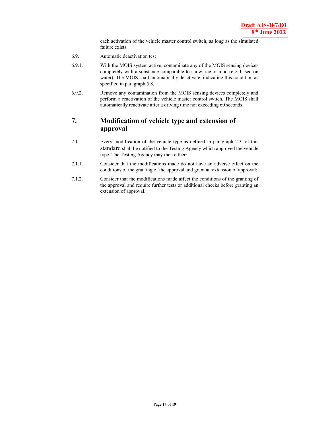each activation of the vehicle master control switch, as long as the simulated failure exists.

- 6.9. Automatic deactivation test
- 6.9.1. With the MOIS system active, contaminate any of the MOIS sensing devices completely with a substance comparable to snow, ice or mud (e.g. based on water). The MOIS shall automatically deactivate, indicating this condition as specified in paragraph 5.8.
- 6.9.2. Remove any contamination from the MOIS sensing devices completely and perform a reactivation of the vehicle master control switch. The MOIS shall automatically reactivate after a driving time not exceeding 60 seconds.

### **7. Modification of vehicle type and extension of approval**

- 7.1. Every modification of the vehicle type as defined in paragraph 2.3. of this standard shall be notified to the Testing Agency which approved the vehicle type. The Testing Agency may then either:
- 7.1.1. Consider that the modifications made do not have an adverse effect on the conditions of the granting of the approval and grant an extension of approval;
- 7.1.2. Consider that the modifications made affect the conditions of the granting of the approval and require further tests or additional checks before granting an extension of approval.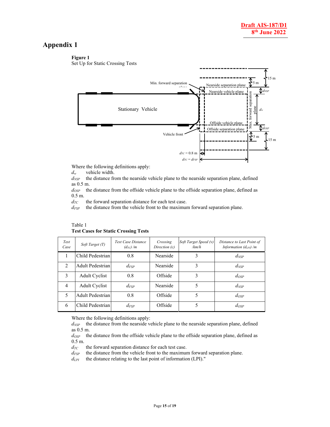### **Appendix 1**

#### **Figure 1**



Where the following definitions apply:

*dw* vehicle width.

 $d_{NSP}$  the distance from the nearside vehicle plane to the nearside separation plane, defined as 0.5 m.

*dOSP* the distance from the offside vehicle plane to the offside separation plane, defined as 0.5 m.

 $d_{TC}$  the forward separation distance for each test case.

*dFSP* the distance from the vehicle front to the maximum forward separation plane.

#### Table 1 **Test Cases for Static Crossing Tests**

| Test<br>Case | Soft Target (T)  | <b>Test Case Distance</b><br>$(d_{TC})/m$ | Crossing<br>Direction (c) | Soft Target Speed (v)<br>/km/h | Distance to Last Point of<br>Information $(d_{LPI})/m$ |
|--------------|------------------|-------------------------------------------|---------------------------|--------------------------------|--------------------------------------------------------|
|              | Child Pedestrian | 0.8                                       | Nearside                  | 3                              | $d_{NSP}$                                              |
| 2            | Adult Pedestrian | $d_{\textit{FSP}}$                        | Nearside                  | 3                              | $d_{NSP}$                                              |
| 3            | Adult Cyclist    | 0.8                                       | Offside                   | 3                              | $d_{OSP}$                                              |
| 4            | Adult Cyclist    | $d_{\textit{FSP}}$                        | Nearside                  | 5                              | $d_{NSP}$                                              |
| 5            | Adult Pedestrian | 0.8                                       | Offside                   | 5                              | $d_{OSP}$                                              |
| 6            | Child Pedestrian | $d_{\textit{FSP}}$                        | Offside                   |                                | $d_{OSP}$                                              |

Where the following definitions apply:

 $d_{NSP}$  the distance from the nearside vehicle plane to the nearside separation plane, defined as 0.5 m.

*dOSP* the distance from the offside vehicle plane to the offside separation plane, defined as 0.5 m.

 $d_{TC}$  the forward separation distance for each test case.

 $d_{FSP}$  the distance from the vehicle front to the maximum forward separation plane.

*dLPI* the distance relating to the last point of information (LPI)."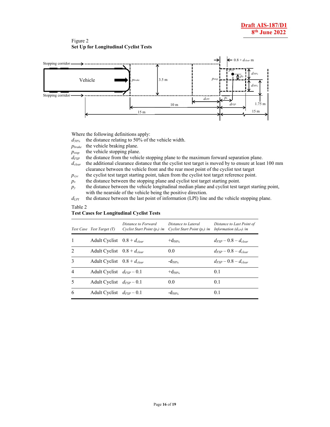Figure 2 **Set Up for Longitudinal Cyclist Tests** 



Where the following definitions apply:

*d50%* the distance relating to 50% of the vehicle width.

*pbrake* the vehicle braking plane.

 $p_{stop}$  the vehicle stopping plane.

- *d<sub>FSP</sub>* the distance from the vehicle stopping plane to the maximum forward separation plane.
- *d<sub>clear</sub>* the additional clearance distance that the cyclist test target is moved by to ensure at least 100 mm clearance between the vehicle front and the rear most point of the cyclist test target

 $p_{cyc}$  the cyclist test target starting point, taken from the cyclist test target reference point.

 $p_x$  the distance between the stopping plane and cyclist test target starting point.

*py* the distance between the vehicle longitudinal median plane and cyclist test target starting point, with the nearside of the vehicle being the positive direction.

*d*<sub>LPI</sub> the distance between the last point of information (LPI) line and the vehicle stopping plane.

#### Table 2 **Test Cases for Longitudinal Cyclist Tests**

|                | Test Case Test Target (T)       | Distance to Forward<br>Cyclist Start Point $(p_x)$ /m | Distance to Lateral<br>Cyclist Start Point $(p_v)$ /m | Distance to Last Point of<br>Information $(d_{LPI})/m$ |
|----------------|---------------------------------|-------------------------------------------------------|-------------------------------------------------------|--------------------------------------------------------|
| 1              | Adult Cyclist $0.8 + d_{clear}$ |                                                       | $+d_{50\%}$                                           | $d_{ESP}-0.8-d_{clear}$                                |
| $\mathfrak{D}$ | Adult Cyclist $0.8 + d_{clear}$ |                                                       | 0.0                                                   | $d_{\text{EXP}} - 0.8 - d_{\text{clear}}$              |
| $\mathbf{3}$   | Adult Cyclist $0.8 + d_{clear}$ |                                                       | $-d_{50\%}$                                           | $d_{\text{EXP}} - 0.8 - d_{\text{clear}}$              |
| $\overline{4}$ | Adult Cyclist $d_{FSP}$ – 0.1   |                                                       | $+d_{50\%}$                                           | 0.1                                                    |
| 5              | Adult Cyclist $d_{FSP}$ – 0.1   |                                                       | 0.0                                                   | 0.1                                                    |
| 6              | Adult Cyclist $d_{FSP}$ – 0.1   |                                                       | $-d_{50\%}$                                           | 0.1                                                    |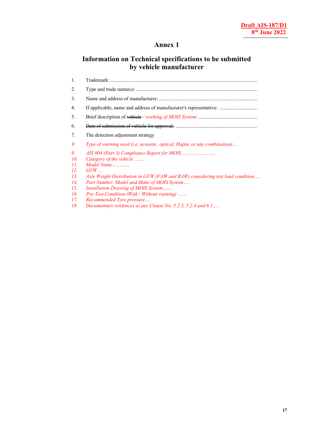### **Annex 1**

## **Information on Technical specifications to be submitted by vehicle manufacturer**

| 1.        | Trademark:                                                                    |
|-----------|-------------------------------------------------------------------------------|
| 2.        |                                                                               |
| 3.        |                                                                               |
| 4.        | If applicable, name and address of manufacturer's representative:             |
| 5.        |                                                                               |
| 6.        |                                                                               |
| 7.        | The detection adjustment strategy                                             |
| 8         | Type of warning used (i.e. acoustic, optical, Haptic or any combination)      |
| 9.<br>10. |                                                                               |
| II.       | Category of the vehicle<br>Model Name                                         |
| 12.       | $GVW$                                                                         |
| 13.       | Axle Weight Distribution in GVW (FAW and RAW) considering test load condition |
| 14.       | Part Number, Model and Make of MOIS System                                    |
| 15.       | Installation Drawing of MOIS System                                           |
| 16.       | <i>Pre-Test Condition (With / Without running)</i>                            |
| 17.       | Recommended Tyre pressure                                                     |
| 18.       | Documentary evidences as per Clause No. 5.2.3, 5.2.4 and 6.1                  |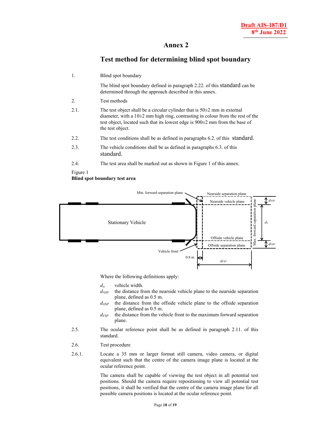### **Annex 2**

### **Test method for determining blind spot boundary**

| 1.       | Blind spot boundary                                                                                                                                                                                                                                                        |
|----------|----------------------------------------------------------------------------------------------------------------------------------------------------------------------------------------------------------------------------------------------------------------------------|
|          | The blind spot boundary defined in paragraph 2.22. of this standard can be<br>determined through the approach described in this annex.                                                                                                                                     |
| 2.       | Test methods                                                                                                                                                                                                                                                               |
| 2.1.     | The test object shall be a circular cylinder that is $50\pm2$ mm in external<br>diameter, with a $10\pm 2$ mm high ring, contrasting in colour from the rest of the<br>test object, located such that its lowest edge is $900\pm2$ mm from the base of<br>the test object. |
| 2.2.     | The test conditions shall be as defined in paragraphs 6.2. of this standard.                                                                                                                                                                                               |
| 2.3.     | The vehicle conditions shall be as defined in paragraphs 6.3. of this<br>standard.                                                                                                                                                                                         |
| 2.4.     | The test area shall be marked out as shown in Figure 1 of this annex.                                                                                                                                                                                                      |
| Figure 1 |                                                                                                                                                                                                                                                                            |

**Blind spot boundary test area** 



Where the following definitions apply:

*dw* vehicle width.

- $d_{NSP}$  the distance from the nearside vehicle plane to the nearside separation plane, defined as 0.5 m.
- *dOSP* the distance from the offside vehicle plane to the offside separation plane, defined as 0.5 m.
- *dFSP* the distance from the vehicle front to the maximum forward separation plane.
- 2.5. The ocular reference point shall be as defined in paragraph 2.11. of this standard.
- 2.6. Test procedure
- 2.6.1. Locate a 35 mm or larger format still camera, video camera, or digital equivalent such that the centre of the camera image plane is located at the ocular reference point.

 The camera shall be capable of viewing the test object in all potential test positions. Should the camera require repositioning to view all potential test positions, it shall be verified that the centre of the camera image plane for all possible camera positions is located at the ocular reference point.